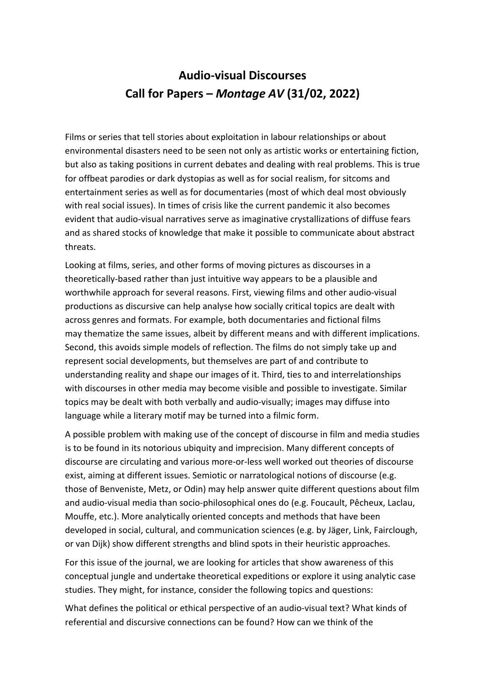## **Audio-visual Discourses Call for Papers –** *Montage AV* **(31/02, 2022)**

Films or series that tell stories about exploitation in labour relationships or about environmental disasters need to be seen not only as artistic works or entertaining fiction, but also as taking positions in current debates and dealing with real problems. This is true for offbeat parodies or dark dystopias as well as for social realism, for sitcoms and entertainment series as well as for documentaries (most of which deal most obviously with real social issues). In times of crisis like the current pandemic it also becomes evident that audio-visual narratives serve as imaginative crystallizations of diffuse fears and as shared stocks of knowledge that make it possible to communicate about abstract threats.

Looking at films, series, and other forms of moving pictures as discourses in a theoretically-based rather than just intuitive way appears to be a plausible and worthwhile approach for several reasons. First, viewing films and other audio-visual productions as discursive can help analyse how socially critical topics are dealt with across genres and formats. For example, both documentaries and fictional films may thematize the same issues, albeit by different means and with different implications. Second, this avoids simple models of reflection. The films do not simply take up and represent social developments, but themselves are part of and contribute to understanding reality and shape our images of it. Third, ties to and interrelationships with discourses in other media may become visible and possible to investigate. Similar topics may be dealt with both verbally and audio-visually; images may diffuse into language while a literary motif may be turned into a filmic form.

A possible problem with making use of the concept of discourse in film and media studies is to be found in its notorious ubiquity and imprecision. Many different concepts of discourse are circulating and various more-or-less well worked out theories of discourse exist, aiming at different issues. Semiotic or narratological notions of discourse (e.g. those of Benveniste, Metz, or Odin) may help answer quite different questions about film and audio-visual media than socio-philosophical ones do (e.g. Foucault, Pêcheux, Laclau, Mouffe, etc.). More analytically oriented concepts and methods that have been developed in social, cultural, and communication sciences (e.g. by Jäger, Link, Fairclough, or van Dijk) show different strengths and blind spots in their heuristic approaches.

For this issue of the journal, we are looking for articles that show awareness of this conceptual jungle and undertake theoretical expeditions or explore it using analytic case studies. They might, for instance, consider the following topics and questions:

What defines the political or ethical perspective of an audio-visual text? What kinds of referential and discursive connections can be found? How can we think of the